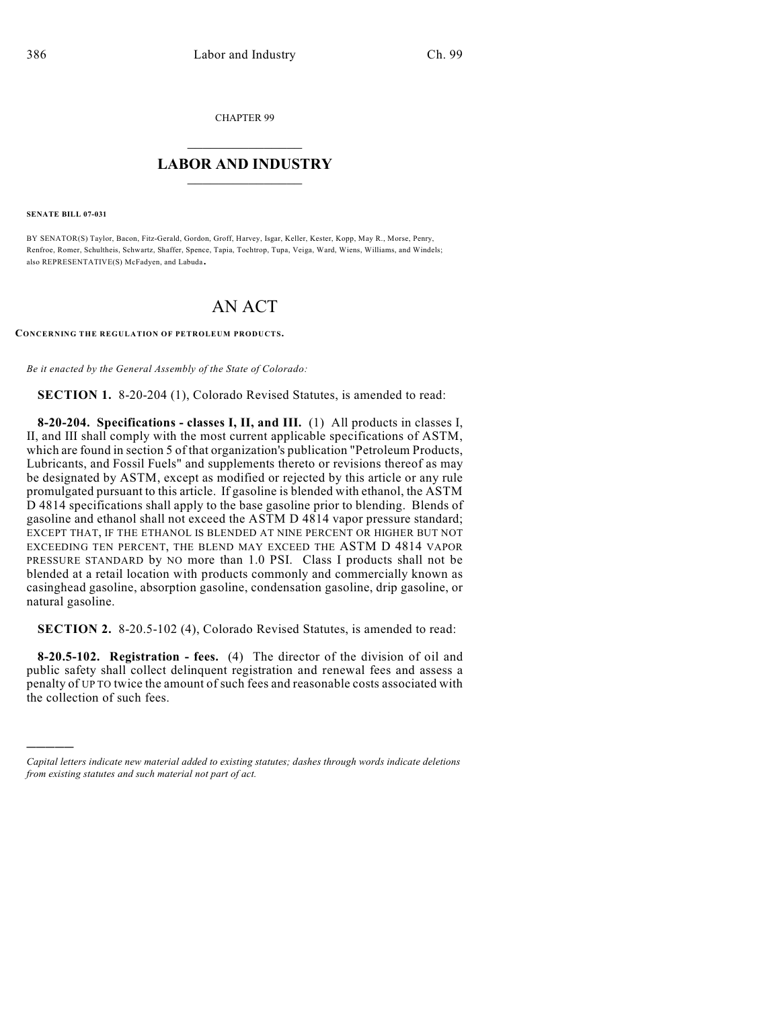CHAPTER 99

## $\mathcal{L}_\text{max}$  . The set of the set of the set of the set of the set of the set of the set of the set of the set of the set of the set of the set of the set of the set of the set of the set of the set of the set of the set **LABOR AND INDUSTRY**  $\frac{1}{\sqrt{2}}$  ,  $\frac{1}{\sqrt{2}}$  ,  $\frac{1}{\sqrt{2}}$  ,  $\frac{1}{\sqrt{2}}$  ,  $\frac{1}{\sqrt{2}}$  ,  $\frac{1}{\sqrt{2}}$

**SENATE BILL 07-031**

)))))

BY SENATOR(S) Taylor, Bacon, Fitz-Gerald, Gordon, Groff, Harvey, Isgar, Keller, Kester, Kopp, May R., Morse, Penry, Renfroe, Romer, Schultheis, Schwartz, Shaffer, Spence, Tapia, Tochtrop, Tupa, Veiga, Ward, Wiens, Williams, and Windels; also REPRESENTATIVE(S) McFadyen, and Labuda.

## AN ACT

**CONCERNING THE REGULATION OF PETROLEUM PRODUCTS.**

*Be it enacted by the General Assembly of the State of Colorado:*

**SECTION 1.** 8-20-204 (1), Colorado Revised Statutes, is amended to read:

**8-20-204. Specifications - classes I, II, and III.** (1) All products in classes I, II, and III shall comply with the most current applicable specifications of ASTM, which are found in section 5 of that organization's publication "Petroleum Products, Lubricants, and Fossil Fuels" and supplements thereto or revisions thereof as may be designated by ASTM, except as modified or rejected by this article or any rule promulgated pursuant to this article. If gasoline is blended with ethanol, the ASTM D 4814 specifications shall apply to the base gasoline prior to blending. Blends of gasoline and ethanol shall not exceed the ASTM D 4814 vapor pressure standard; EXCEPT THAT, IF THE ETHANOL IS BLENDED AT NINE PERCENT OR HIGHER BUT NOT EXCEEDING TEN PERCENT, THE BLEND MAY EXCEED THE ASTM D 4814 VAPOR PRESSURE STANDARD by NO more than 1.0 PSI. Class I products shall not be blended at a retail location with products commonly and commercially known as casinghead gasoline, absorption gasoline, condensation gasoline, drip gasoline, or natural gasoline.

**SECTION 2.** 8-20.5-102 (4), Colorado Revised Statutes, is amended to read:

**8-20.5-102. Registration - fees.** (4) The director of the division of oil and public safety shall collect delinquent registration and renewal fees and assess a penalty of UP TO twice the amount of such fees and reasonable costs associated with the collection of such fees.

*Capital letters indicate new material added to existing statutes; dashes through words indicate deletions from existing statutes and such material not part of act.*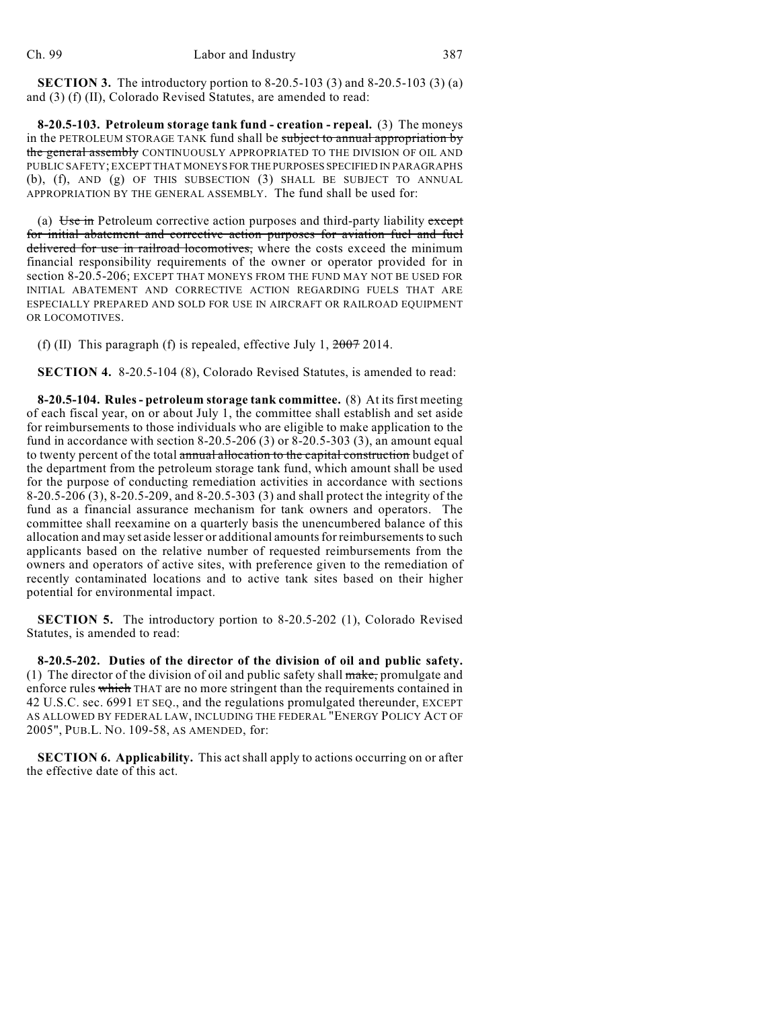**SECTION 3.** The introductory portion to 8-20.5-103 (3) and 8-20.5-103 (3) (a) and (3) (f) (II), Colorado Revised Statutes, are amended to read:

**8-20.5-103. Petroleum storage tank fund - creation - repeal.** (3) The moneys in the PETROLEUM STORAGE TANK fund shall be subject to annual appropriation by the general assembly CONTINUOUSLY APPROPRIATED TO THE DIVISION OF OIL AND PUBLIC SAFETY; EXCEPT THAT MONEYS FOR THE PURPOSES SPECIFIED IN PARAGRAPHS (b), (f), AND (g) OF THIS SUBSECTION (3) SHALL BE SUBJECT TO ANNUAL APPROPRIATION BY THE GENERAL ASSEMBLY. The fund shall be used for:

(a) Use in Petroleum corrective action purposes and third-party liability except for initial abatement and corrective action purposes for aviation fuel and fuel delivered for use in railroad locomotives, where the costs exceed the minimum financial responsibility requirements of the owner or operator provided for in section 8-20.5-206; EXCEPT THAT MONEYS FROM THE FUND MAY NOT BE USED FOR INITIAL ABATEMENT AND CORRECTIVE ACTION REGARDING FUELS THAT ARE ESPECIALLY PREPARED AND SOLD FOR USE IN AIRCRAFT OR RAILROAD EQUIPMENT OR LOCOMOTIVES.

(f) (II) This paragraph (f) is repealed, effective July 1,  $2007$  2014.

**SECTION 4.** 8-20.5-104 (8), Colorado Revised Statutes, is amended to read:

**8-20.5-104. Rules- petroleum storage tank committee.** (8) At its first meeting of each fiscal year, on or about July 1, the committee shall establish and set aside for reimbursements to those individuals who are eligible to make application to the fund in accordance with section  $8-20.5-206$  (3) or  $8-20.5-303$  (3), an amount equal to twenty percent of the total **annual allocation to the capital construction** budget of the department from the petroleum storage tank fund, which amount shall be used for the purpose of conducting remediation activities in accordance with sections 8-20.5-206 (3), 8-20.5-209, and 8-20.5-303 (3) and shall protect the integrity of the fund as a financial assurance mechanism for tank owners and operators. The committee shall reexamine on a quarterly basis the unencumbered balance of this allocation and may set aside lesser or additional amounts for reimbursements to such applicants based on the relative number of requested reimbursements from the owners and operators of active sites, with preference given to the remediation of recently contaminated locations and to active tank sites based on their higher potential for environmental impact.

**SECTION 5.** The introductory portion to 8-20.5-202 (1), Colorado Revised Statutes, is amended to read:

**8-20.5-202. Duties of the director of the division of oil and public safety.** (1) The director of the division of oil and public safety shall  $\frac{m}{\text{make}}$ , promulgate and enforce rules which THAT are no more stringent than the requirements contained in 42 U.S.C. sec. 6991 ET SEQ., and the regulations promulgated thereunder, EXCEPT AS ALLOWED BY FEDERAL LAW, INCLUDING THE FEDERAL "ENERGY POLICY ACT OF 2005", PUB.L. NO. 109-58, AS AMENDED, for:

**SECTION 6. Applicability.** This act shall apply to actions occurring on or after the effective date of this act.